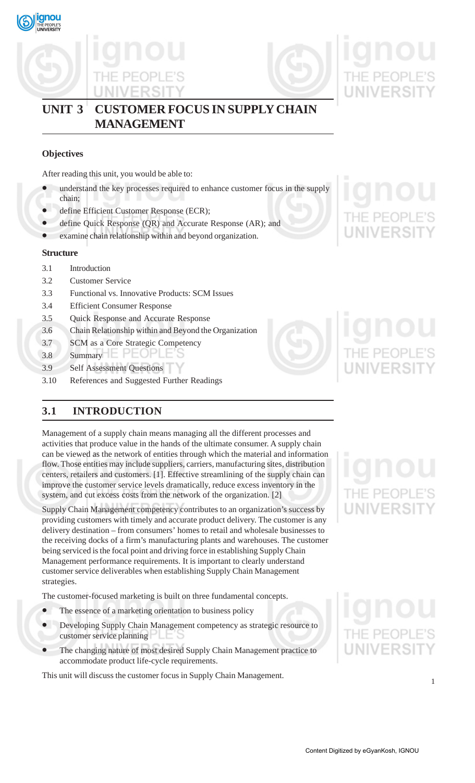





## **UNIT 3 CUSTOMER FOCUS IN SUPPLY CHAIN MANAGEMENT**

## **Objectives**

After reading this unit, you would be able to:

- understand the key processes required to enhance customer focus in the supply chain;
- define Efficient Customer Response (ECR);
- define Quick Response (QR) and Accurate Response (AR); and
- examine chain relationship within and beyond organization.

## **Structure**

- 3.1 Introduction
- 3.2 Customer Service
- 3.3 Functional vs. Innovative Products: SCM Issues
- 3.4 Efficient Consumer Response
- 3.5 Quick Response and Accurate Response
- 3.6 Chain Relationship within and Beyond the Organization
- 3.7 SCM as a Core Strategic Competency
- 3.8 Summary
- 3.9 Self Assessment Questions
- 3.10 References and Suggested Further Readings

## **3.1 INTRODUCTION**

Management of a supply chain means managing all the different processes and activities that produce value in the hands of the ultimate consumer. A supply chain can be viewed as the network of entities through which the material and information flow. Those entities may include suppliers, carriers, manufacturing sites, distribution centers, retailers and customers. [1]. Effective streamlining of the supply chain can improve the customer service levels dramatically, reduce excess inventory in the system, and cut excess costs from the network of the organization. [2]

Supply Chain Management competency contributes to an organization's success by providing customers with timely and accurate product delivery. The customer is any delivery destination – from consumers' homes to retail and wholesale businesses to the receiving docks of a firm's manufacturing plants and warehouses. The customer being serviced is the focal point and driving force in establishing Supply Chain Management performance requirements. It is important to clearly understand customer service deliverables when establishing Supply Chain Management strategies.

The customer-focused marketing is built on three fundamental concepts.

- The essence of a marketing orientation to business policy
- Developing Supply Chain Management competency as strategic resource to customer service planning
- The changing nature of most desired Supply Chain Management practice to accommodate product life-cycle requirements.

This unit will discuss the customer focus in Supply Chain Management.

# **JNIVERSIT**

1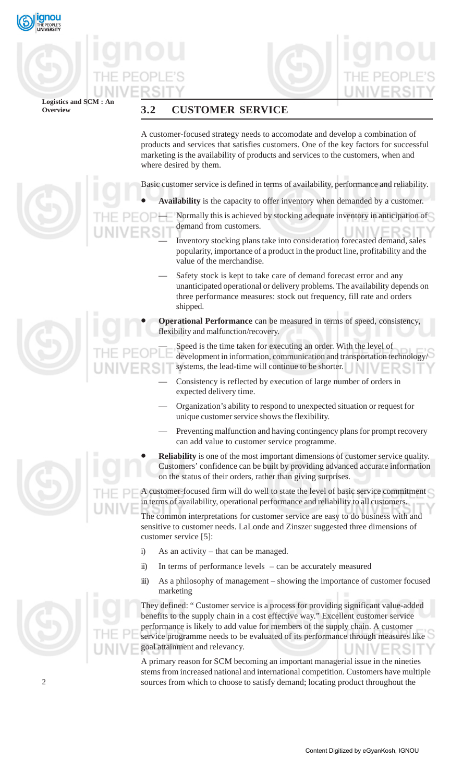



**Logistics and SCM : An**

## **Overview 3.2 CUSTOMER SERVICE**

A customer-focused strategy needs to accomodate and develop a combination of products and services that satisfies customers. One of the key factors for successful marketing is the availability of products and services to the customers, when and where desired by them.

Basic customer service is defined in terms of availability, performance and reliability.

• **Availability** is the capacity to offer inventory when demanded by a customer.

— Normally this is achieved by stocking adequate inventory in anticipation of demand from customers.

— Inventory stocking plans take into consideration forecasted demand, sales popularity, importance of a product in the product line, profitability and the value of the merchandise.

- Safety stock is kept to take care of demand forecast error and any unanticipated operational or delivery problems. The availability depends on three performance measures: stock out frequency, fill rate and orders shipped.
- **Operational Performance** can be measured in terms of speed, consistency, flexibility and malfunction/recovery.

Speed is the time taken for executing an order. With the level of development in information, communication and transportation technology, systems, the lead-time will continue to be shorter.

- Consistency is reflected by execution of large number of orders in expected delivery time.
- Organization's ability to respond to unexpected situation or request for unique customer service shows the flexibility.
- Preventing malfunction and having contingency plans for prompt recovery can add value to customer service programme.
- **Reliability** is one of the most important dimensions of customer service quality. Customers' confidence can be built by providing advanced accurate information on the status of their orders, rather than giving surprises.

A customer-focused firm will do well to state the level of basic service commitment in terms of availability, operational performance and reliability to all customers.

The common interpretations for customer service are easy to do business with and sensitive to customer needs. LaLonde and Zinszer suggested three dimensions of customer service [5]:

- i) As an activity that can be managed.
- ii) In terms of performance levels can be accurately measured
- iii) As a philosophy of management showing the importance of customer focused marketing

They defined: " Customer service is a process for providing significant value-added benefits to the supply chain in a cost effective way." Excellent customer service performance is likely to add value for members of the supply chain. A customer service programme needs to be evaluated of its performance through measures like goal attainment and relevancy.

A primary reason for SCM becoming an important managerial issue in the nineties stems from increased national and international competition. Customers have multiple sources from which to choose to satisfy demand; locating product throughout the



2



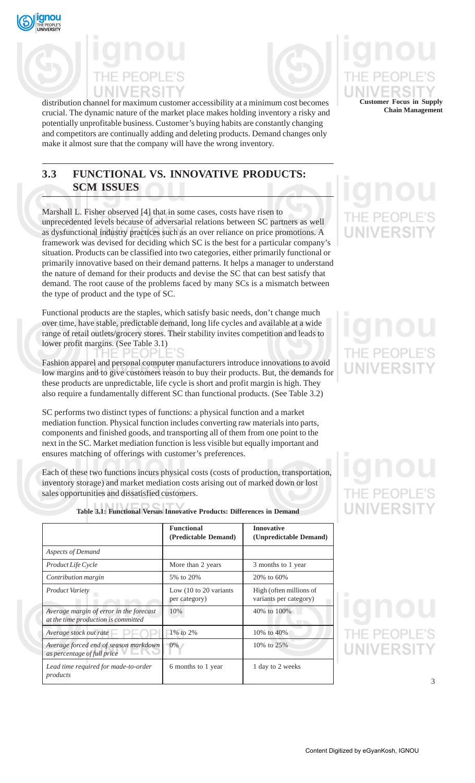



distribution channel for maximum customer accessibility at a minimum cost becomes crucial. The dynamic nature of the market place makes holding inventory a risky and potentially unprofitable business. Customer's buying habits are constantly changing and competitors are continually adding and deleting products. Demand changes only make it almost sure that the company will have the wrong inventory.

## **3.3 FUNCTIONAL VS. INNOVATIVE PRODUCTS: SCM ISSUES**

Marshall L. Fisher observed [4] that in some cases, costs have risen to unprecedented levels because of adversarial relations between SC partners as well as dysfunctional industry practices such as an over reliance on price promotions. A framework was devised for deciding which SC is the best for a particular company's situation. Products can be classified into two categories, either primarily functional or primarily innovative based on their demand patterns. It helps a manager to understand the nature of demand for their products and devise the SC that can best satisfy that demand. The root cause of the problems faced by many SCs is a mismatch between the type of product and the type of SC.

Functional products are the staples, which satisfy basic needs, don't change much over time, have stable, predictable demand, long life cycles and available at a wide range of retail outlets/grocery stores. Their stability invites competition and leads to lower profit margins. (See Table 3.1)

Fashion apparel and personal computer manufacturers introduce innovations to avoid low margins and to give customers reason to buy their products. But, the demands for these products are unpredictable, life cycle is short and profit margin is high. They also require a fundamentally different SC than functional products. (See Table 3.2)

SC performs two distinct types of functions: a physical function and a market mediation function. Physical function includes converting raw materials into parts, components and finished goods, and transporting all of them from one point to the next in the SC. Market mediation function is less visible but equally important and ensures matching of offerings with customer's preferences.

Each of these two functions incurs physical costs (costs of production, transportation, inventory storage) and market mediation costs arising out of marked down or lost sales opportunities and dissatisfied customers.

| Table 3.1: Functional Versus Innovative Products: Differences in Demand |  |  |
|-------------------------------------------------------------------------|--|--|

|                                                                                | <b>Functional</b><br>(Predictable Demand)                   | <b>Innovative</b><br>(Unpredictable Demand)       |
|--------------------------------------------------------------------------------|-------------------------------------------------------------|---------------------------------------------------|
| Aspects of Demand                                                              |                                                             |                                                   |
| Product Life Cycle                                                             | More than 2 years                                           | 3 months to 1 year                                |
| Contribution margin                                                            | 5% to 20%                                                   | 20% to 60%                                        |
| <b>Product Variety</b>                                                         | Low $(10 \text{ to } 20 \text{ variants})$<br>per category) | High (often millions of<br>variants per category) |
| Average margin of error in the forecast<br>at the time production is committed | 10%                                                         | 40\% to 100\%                                     |
| Average stock out rate                                                         | 1% to 2%                                                    | 10% to 40%                                        |
| Average forced end of season markdown<br>as percentage of full price           | $0\%$                                                       | 10\% to 25\%                                      |
| Lead time required for made-to-order<br>products                               | 6 months to 1 year                                          | 1 day to 2 weeks                                  |

## **Customer Focus in Supply Chain Management**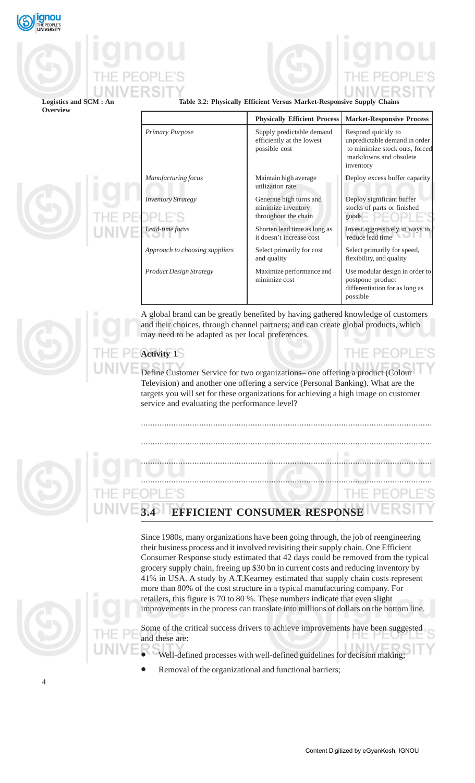

### Logistics and SCM : **Overview**

### **Table 3.2: Physically Efficient Versus Market-Responsive Supply Chains**

|                                | <b>Physically Efficient Process</b>                                     | <b>Market-Responsive Process</b>                                                                                             |  |
|--------------------------------|-------------------------------------------------------------------------|------------------------------------------------------------------------------------------------------------------------------|--|
| <b>Primary Purpose</b>         | Supply predictable demand<br>efficiently at the lowest<br>possible cost | Respond quickly to<br>unpredictable demand in order<br>to minimize stock outs, forced<br>markdowns and obsolete<br>inventory |  |
| Manufacturing focus            | Maintain high average<br>utilization rate                               | Deploy excess buffer capacity                                                                                                |  |
| <b>Inventory Strategy</b>      | Generate high turns and<br>minimize inventory<br>throughout the chain   | Deploy significant buffer<br>stocks of parts or finished<br>goods                                                            |  |
| Lead-time focus                | Shorten lead time as long as<br>it doesn't increase cost                | Invest aggressively in ways to<br>reduce lead time                                                                           |  |
| Approach to choosing suppliers | Select primarily for cost<br>and quality                                | Select primarily for speed,<br>flexibility, and quality                                                                      |  |
| <b>Product Design Strategy</b> | Maximize performance and<br>minimize cost                               | Use modular design in order to<br>postpone product<br>differentiation for as long as<br>possible                             |  |

A global brand can be greatly benefited by having gathered knowledge of customers and their choices, through channel partners; and can create global products, which may need to be adapted as per local preferences.

## **Activity 1**

Define Customer Service for two organizations– one offering a product (Colour Television) and another one offering a service (Personal Banking). What are the targets you will set for these organizations for achieving a high image on customer service and evaluating the performance level?

.............................................................................................................................





Since 1980s, many organizations have been going through, the job of reengineering their business process and it involved revisiting their supply chain. One Efficient Consumer Response study estimated that 42 days could be removed from the typical grocery supply chain, freeing up \$30 bn in current costs and reducing inventory by 41% in USA. A study by A.T.Kearney estimated that supply chain costs represent more than 80% of the cost structure in a typical manufacturing company. For retailers, this figure is 70 to 80 %. These numbers indicate that even slight improvements in the process can translate into millions of dollars on the bottom line.



Some of the critical success drivers to achieve improvements have been suggested and these are:

Well-defined processes with well-defined guidelines for decision making;

Removal of the organizational and functional barriers;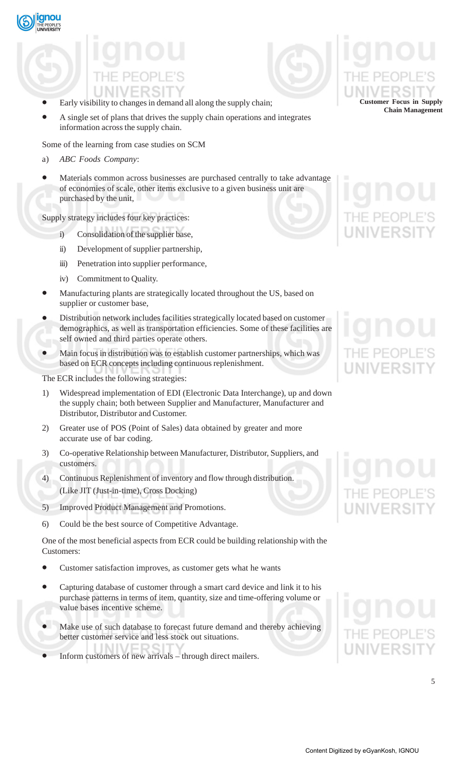

- Early visibility to changes in demand all along the supply chain;
- A single set of plans that drives the supply chain operations and integrates information across the supply chain.

Some of the learning from case studies on SCM

a) *ABC Foods Company*:

gnou

Materials common across businesses are purchased centrally to take advantage of economies of scale, other items exclusive to a given business unit are purchased by the unit,

Supply strategy includes four key practices:

- i) Consolidation of the supplier base,
- ii) Development of supplier partnership,
- iii) Penetration into supplier performance,
- iv) Commitment to Quality.
- Manufacturing plants are strategically located throughout the US, based on supplier or customer base,
- Distribution network includes facilities strategically located based on customer demographics, as well as transportation efficiencies. Some of these facilities are self owned and third parties operate others.
- Main focus in distribution was to establish customer partnerships, which was based on ECR concepts including continuous replenishment.

The ECR includes the following strategies:

- 1) Widespread implementation of EDI (Electronic Data Interchange), up and down the supply chain; both between Supplier and Manufacturer, Manufacturer and Distributor, Distributor and Customer.
- 2) Greater use of POS (Point of Sales) data obtained by greater and more accurate use of bar coding.
- 3) Co-operative Relationship between Manufacturer, Distributor, Suppliers, and customers.
- 4) Continuous Replenishment of inventory and flow through distribution. (Like JIT (Just-in-time), Cross Docking)
- 5) Improved Product Management and Promotions.
- 6) Could be the best source of Competitive Advantage.

One of the most beneficial aspects from ECR could be building relationship with the Customers:

- Customer satisfaction improves, as customer gets what he wants
- Capturing database of customer through a smart card device and link it to his purchase patterns in terms of item, quantity, size and time-offering volume or value bases incentive scheme.
- Make use of such database to forecast future demand and thereby achieving better customer service and less stock out situations.
- Inform customers of new arrivals through direct mailers.

**Customer Focus in Supply Chain Management**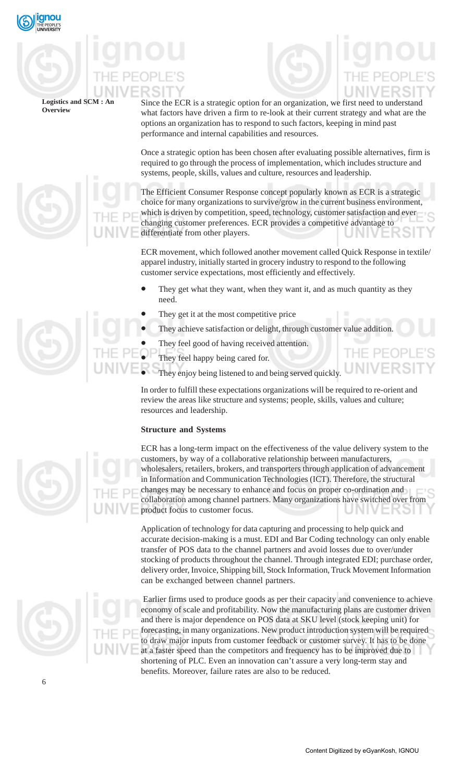

THE PEOP

Logistics and SCM : **Overview**

Since the ECR is a strategic option for an organization, we first need to understand what factors have driven a firm to re-look at their current strategy and what are the options an organization has to respond to such factors, keeping in mind past performance and internal capabilities and resources.

Once a strategic option has been chosen after evaluating possible alternatives, firm is required to go through the process of implementation, which includes structure and systems, people, skills, values and culture, resources and leadership.

The Efficient Consumer Response concept popularly known as ECR is a strategic choice for many organizations to survive/grow in the current business environment, which is driven by competition, speed, technology, customer satisfaction and ever changing customer preferences. ECR provides a competitive advantage to differentiate from other players.

ECR movement, which followed another movement called Quick Response in textile/ apparel industry, initially started in grocery industry to respond to the following customer service expectations, most efficiently and effectively.

- They get what they want, when they want it, and as much quantity as they need.
- They get it at the most competitive price
- They achieve satisfaction or delight, through customer value addition.
- They feel good of having received attention.
- They feel happy being cared for.

JNIVERSI They enjoy being listened to and being served quickly.

In order to fulfill these expectations organizations will be required to re-orient and review the areas like structure and systems; people, skills, values and culture; resources and leadership.

## **Structure and Systems**

ECR has a long-term impact on the effectiveness of the value delivery system to the customers, by way of a collaborative relationship between manufacturers, wholesalers, retailers, brokers, and transporters through application of advancement in Information and Communication Technologies (ICT). Therefore, the structural changes may be necessary to enhance and focus on proper co-ordination and collaboration among channel partners. Many organizations have switched over from product focus to customer focus.

Application of technology for data capturing and processing to help quick and accurate decision-making is a must. EDI and Bar Coding technology can only enable transfer of POS data to the channel partners and avoid losses due to over/under stocking of products throughout the channel. Through integrated EDI; purchase order, delivery order, Invoice, Shipping bill, Stock Information, Truck Movement Information can be exchanged between channel partners.



 Earlier firms used to produce goods as per their capacity and convenience to achieve economy of scale and profitability. Now the manufacturing plans are customer driven and there is major dependence on POS data at SKU level (stock keeping unit) for forecasting, in many organizations. New product introduction system will be required to draw major inputs from customer feedback or customer survey. It has to be done at a faster speed than the competitors and frequency has to be improved due to shortening of PLC. Even an innovation can't assure a very long-term stay and benefits. Moreover, failure rates are also to be reduced.



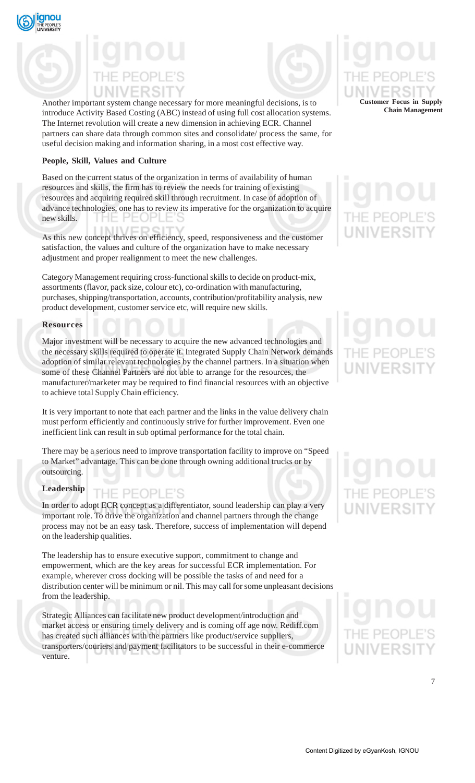



Another important system change necessary for more meaningful decisions, is to introduce Activity Based Costing (ABC) instead of using full cost allocation systems. The Internet revolution will create a new dimension in achieving ECR. Channel partners can share data through common sites and consolidate/ process the same, for useful decision making and information sharing, in a most cost effective way.

## **People, Skill, Values and Culture**

Based on the current status of the organization in terms of availability of human resources and skills, the firm has to review the needs for training of existing resources and acquiring required skill through recruitment. In case of adoption of advance technologies, one has to review its imperative for the organization to acquire new skills.

As this new concept thrives on efficiency, speed, responsiveness and the customer satisfaction, the values and culture of the organization have to make necessary adjustment and proper realignment to meet the new challenges.

Category Management requiring cross-functional skills to decide on product-mix, assortments (flavor, pack size, colour etc), co-ordination with manufacturing, purchases, shipping/transportation, accounts, contribution/profitability analysis, new product development, customer service etc, will require new skills.

## **Resources**

Major investment will be necessary to acquire the new advanced technologies and the necessary skills required to operate it. Integrated Supply Chain Network demands adoption of similar relevant technologies by the channel partners. In a situation when some of these Channel Partners are not able to arrange for the resources, the manufacturer/marketer may be required to find financial resources with an objective to achieve total Supply Chain efficiency.

It is very important to note that each partner and the links in the value delivery chain must perform efficiently and continuously strive for further improvement. Even one inefficient link can result in sub optimal performance for the total chain.

There may be a serious need to improve transportation facility to improve on "Speed to Market" advantage. This can be done through owning additional trucks or by outsourcing.

### **Leadership** THE PEOPLE'S

In order to adopt ECR concept as a differentiator, sound leadership can play a very important role. To drive the organization and channel partners through the change process may not be an easy task. Therefore, success of implementation will depend on the leadership qualities.

The leadership has to ensure executive support, commitment to change and empowerment, which are the key areas for successful ECR implementation. For example, wherever cross docking will be possible the tasks of and need for a distribution center will be minimum or nil. This may call for some unpleasant decisions from the leadership.

Strategic Alliances can facilitate new product development/introduction and market access or ensuring timely delivery and is coming off age now. Rediff.com has created such alliances with the partners like product/service suppliers, transporters/couriers and payment facilitators to be successful in their e-commerce venture.

## **Customer Focus in Supply Chain Management**

# **JNIVERSI**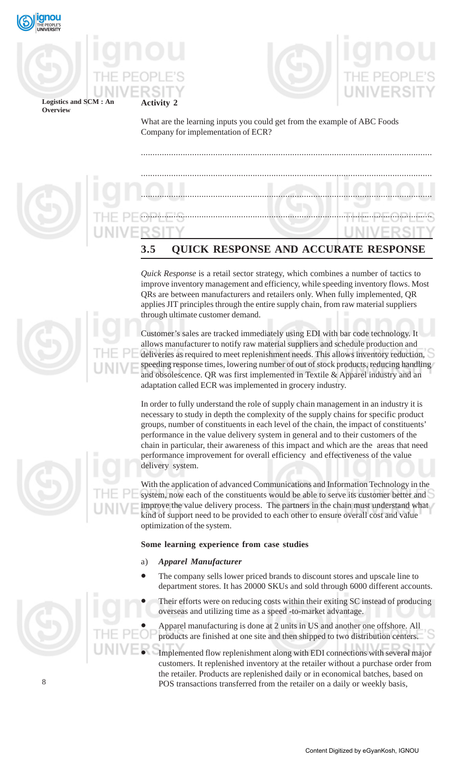





**Overview**

What are the learning inputs you could get from the example of ABC Foods Company for implementation of ECR?

## **3.5 QUICK RESPONSE AND ACCURATE RESPONSE**

.............................................................................................................................

.............................................................................................................................

.............................................................................................................................

.............................................................................................................................

*Quick Response* is a retail sector strategy, which combines a number of tactics to improve inventory management and efficiency, while speeding inventory flows. Most QRs are between manufacturers and retailers only. When fully implemented, QR applies JIT principles through the entire supply chain, from raw material suppliers through ultimate customer demand.

Customer's sales are tracked immediately using EDI with bar code technology. It allows manufacturer to notify raw material suppliers and schedule production and deliveries as required to meet replenishment needs. This allows inventory reduction, speeding response times, lowering number of out of stock products, reducing handling and obsolescence. QR was first implemented in Textile & Apparel industry and an adaptation called ECR was implemented in grocery industry.

In order to fully understand the role of supply chain management in an industry it is necessary to study in depth the complexity of the supply chains for specific product groups, number of constituents in each level of the chain, the impact of constituents' performance in the value delivery system in general and to their customers of the chain in particular, their awareness of this impact and which are the areas that need performance improvement for overall efficiency and effectiveness of the value delivery system.

With the application of advanced Communications and Information Technology in the system, now each of the constituents would be able to serve its customer better and improve the value delivery process. The partners in the chain must understand what kind of support need to be provided to each other to ensure overall cost and value optimization of the system.

### **Some learning experience from case studies**

### a) *Apparel Manufacturer*

- The company sells lower priced brands to discount stores and upscale line to department stores. It has 20000 SKUs and sold through 6000 different accounts.
- Their efforts were on reducing costs within their exiting SC instead of producing overseas and utilizing time as a speed -to-market advantage.

• Apparel manufacturing is done at 2 units in US and another one offshore. All products are finished at one site and then shipped to two distribution centers.

• Implemented flow replenishment along with EDI connections with several major customers. It replenished inventory at the retailer without a purchase order from the retailer. Products are replenished daily or in economical batches, based on POS transactions transferred from the retailer on a daily or weekly basis,



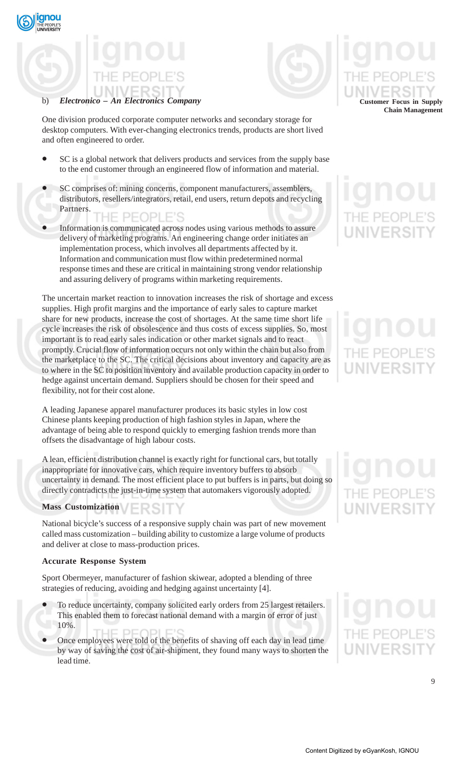

qnou



## b) *Electronico – An Electronics Company*

One division produced corporate computer networks and secondary storage for desktop computers. With ever-changing electronics trends, products are short lived and often engineered to order.

- SC is a global network that delivers products and services from the supply base to the end customer through an engineered flow of information and material.
- SC comprises of: mining concerns, component manufacturers, assemblers, distributors, resellers/integrators, retail, end users, return depots and recycling Partners. HE PEOPLE'S
- Information is communicated across nodes using various methods to assure delivery of marketing programs. An engineering change order initiates an implementation process, which involves all departments affected by it. Information and communication must flow within predetermined normal response times and these are critical in maintaining strong vendor relationship and assuring delivery of programs within marketing requirements.

The uncertain market reaction to innovation increases the risk of shortage and excess supplies. High profit margins and the importance of early sales to capture market share for new products, increase the cost of shortages. At the same time short life cycle increases the risk of obsolescence and thus costs of excess supplies. So, most important is to read early sales indication or other market signals and to react promptly. Crucial flow of information occurs not only within the chain but also from the marketplace to the SC. The critical decisions about inventory and capacity are as to where in the SC to position inventory and available production capacity in order to hedge against uncertain demand. Suppliers should be chosen for their speed and flexibility, not for their cost alone.

A leading Japanese apparel manufacturer produces its basic styles in low cost Chinese plants keeping production of high fashion styles in Japan, where the advantage of being able to respond quickly to emerging fashion trends more than offsets the disadvantage of high labour costs.

A lean, efficient distribution channel is exactly right for functional cars, but totally inappropriate for innovative cars, which require inventory buffers to absorb uncertainty in demand. The most efficient place to put buffers is in parts, but doing so directly contradicts the just-in-time system that automakers vigorously adopted.

## **Mass Customization**

National bicycle's success of a responsive supply chain was part of new movement called mass customization – building ability to customize a large volume of products and deliver at close to mass-production prices.

## **Accurate Response System**

Sport Obermeyer, manufacturer of fashion skiwear, adopted a blending of three strategies of reducing, avoiding and hedging against uncertainty [4].

- To reduce uncertainty, company solicited early orders from 25 largest retailers. This enabled them to forecast national demand with a margin of error of just 10%.
- Once employees were told of the benefits of shaving off each day in lead time by way of saving the cost of air-shipment, they found many ways to shorten the lead time.

## **Customer Focus in Supply Chain Management**

# **UNIVERSI**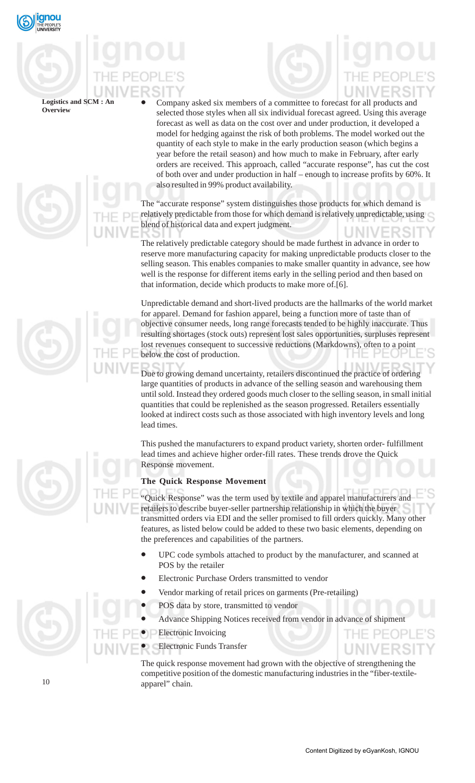

### **Logistics and SCM: Overview**

• Company asked six members of a committee to forecast for all products and selected those styles when all six individual forecast agreed. Using this average forecast as well as data on the cost over and under production, it developed a model for hedging against the risk of both problems. The model worked out the quantity of each style to make in the early production season (which begins a year before the retail season) and how much to make in February, after early orders are received. This approach, called "accurate response", has cut the cost of both over and under production in half – enough to increase profits by 60%. It also resulted in 99% product availability.

The "accurate response" system distinguishes those products for which demand is relatively predictable from those for which demand is relatively unpredictable, using blend of historical data and expert judgment.

The relatively predictable category should be made furthest in advance in order to reserve more manufacturing capacity for making unpredictable products closer to the selling season. This enables companies to make smaller quantity in advance, see how well is the response for different items early in the selling period and then based on that information, decide which products to make more of.[6].

Unpredictable demand and short-lived products are the hallmarks of the world market for apparel. Demand for fashion apparel, being a function more of taste than of objective consumer needs, long range forecasts tended to be highly inaccurate. Thus resulting shortages (stock outs) represent lost sales opportunities, surpluses represent lost revenues consequent to successive reductions (Markdowns), often to a point below the cost of production.

Due to growing demand uncertainty, retailers discontinued the practice of ordering large quantities of products in advance of the selling season and warehousing them until sold. Instead they ordered goods much closer to the selling season, in small initial quantities that could be replenished as the season progressed. Retailers essentially looked at indirect costs such as those associated with high inventory levels and long lead times.

This pushed the manufacturers to expand product variety, shorten order- fulfillment lead times and achieve higher order-fill rates. These trends drove the Quick Response movement.

## **The Quick Response Movement**

"Quick Response" was the term used by textile and apparel manufacturers and retailers to describe buyer-seller partnership relationship in which the buyer transmitted orders via EDI and the seller promised to fill orders quickly. Many other features, as listed below could be added to these two basic elements, depending on the preferences and capabilities of the partners.

- UPC code symbols attached to product by the manufacturer, and scanned at POS by the retailer
- Electronic Purchase Orders transmitted to vendor
- Vendor marking of retail prices on garments (Pre-retailing)
- POS data by store, transmitted to vendor
- Advance Shipping Notices received from vendor in advance of shipment

• Electronic Invoicing

• Electronic Funds Transfer

The quick response movement had grown with the objective of strengthening the competitive position of the domestic manufacturing industries in the "fiber-textileapparel" chain.



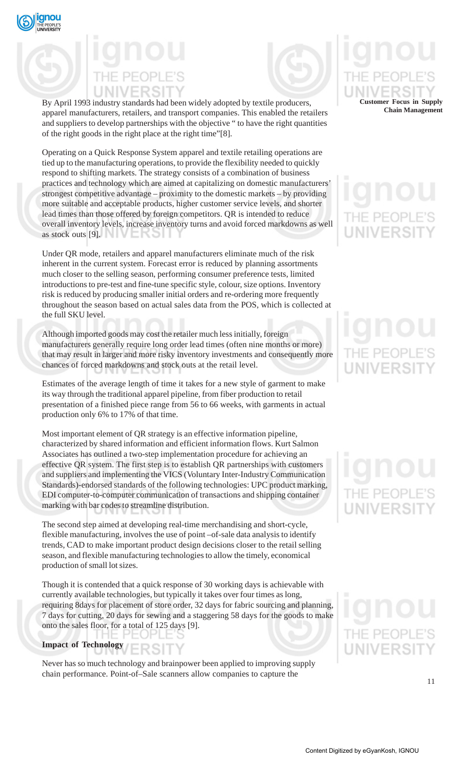



By April 1993 industry standards had been widely adopted by textile producers, apparel manufacturers, retailers, and transport companies. This enabled the retailers and suppliers to develop partnerships with the objective " to have the right quantities of the right goods in the right place at the right time"[8].

Operating on a Quick Response System apparel and textile retailing operations are tied up to the manufacturing operations, to provide the flexibility needed to quickly respond to shifting markets. The strategy consists of a combination of business practices and technology which are aimed at capitalizing on domestic manufacturers' strongest competitive advantage – proximity to the domestic markets – by providing more suitable and acceptable products, higher customer service levels, and shorter lead times than those offered by foreign competitors. QR is intended to reduce overall inventory levels, increase inventory turns and avoid forced markdowns as well as stock outs [9].

Under QR mode, retailers and apparel manufacturers eliminate much of the risk inherent in the current system. Forecast error is reduced by planning assortments much closer to the selling season, performing consumer preference tests, limited introductions to pre-test and fine-tune specific style, colour, size options. Inventory risk is reduced by producing smaller initial orders and re-ordering more frequently throughout the season based on actual sales data from the POS, which is collected at the full SKU level.

Although imported goods may cost the retailer much less initially, foreign manufacturers generally require long order lead times (often nine months or more) that may result in larger and more risky inventory investments and consequently more chances of forced markdowns and stock outs at the retail level.

Estimates of the average length of time it takes for a new style of garment to make its way through the traditional apparel pipeline, from fiber production to retail presentation of a finished piece range from 56 to 66 weeks, with garments in actual production only 6% to 17% of that time.

Most important element of QR strategy is an effective information pipeline, characterized by shared information and efficient information flows. Kurt Salmon Associates has outlined a two-step implementation procedure for achieving an effective QR system. The first step is to establish QR partnerships with customers and suppliers and implementing the VICS (Voluntary Inter-Industry Communication Standards)-endorsed standards of the following technologies: UPC product marking, EDI computer-to-computer communication of transactions and shipping container marking with bar codes to streamline distribution.

The second step aimed at developing real-time merchandising and short-cycle, flexible manufacturing, involves the use of point –of-sale data analysis to identify trends, CAD to make important product design decisions closer to the retail selling season, and flexible manufacturing technologies to allow the timely, economical production of small lot sizes.

Though it is contended that a quick response of 30 working days is achievable with currently available technologies, but typically it takes over four times as long, requiring 8days for placement of store order, 32 days for fabric sourcing and planning, 7 days for cutting, 20 days for sewing and a staggering 58 days for the goods to make onto the sales floor, for a total of 125 days [9].

**Impact of Technology**

Never has so much technology and brainpower been applied to improving supply chain performance. Point-of–Sale scanners allow companies to capture the

## **Customer Focus in Supply Chain Management**

# **JNIVERSI**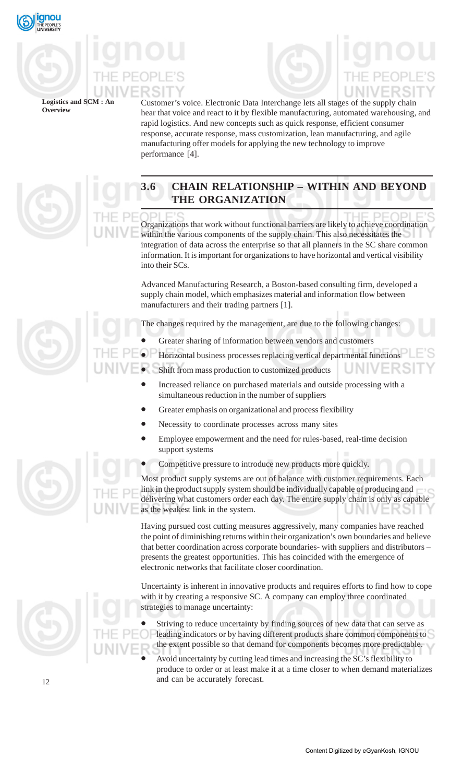

UNIVE

Logistics and SCM : **Overview**

Customer's voice. Electronic Data Interchange lets all stages of the supply chain hear that voice and react to it by flexible manufacturing, automated warehousing, and rapid logistics. And new concepts such as quick response, efficient consumer response, accurate response, mass customization, lean manufacturing, and agile manufacturing offer models for applying the new technology to improve performance [4].



## **3.6 CHAIN RELATIONSHIP – WITHIN AND BEYOND THE ORGANIZATION**

Organizations that work without functional barriers are likely to achieve coordination within the various components of the supply chain. This also necessitates the integration of data across the enterprise so that all planners in the SC share common information. It is important for organizations to have horizontal and vertical visibility into their SCs.

Advanced Manufacturing Research, a Boston-based consulting firm, developed a supply chain model, which emphasizes material and information flow between manufacturers and their trading partners [1].

The changes required by the management, are due to the following changes:

- Greater sharing of information between vendors and customers
- Horizontal business processes replacing vertical departmental functions
- Shift from mass production to customized products
	- Increased reliance on purchased materials and outside processing with a simultaneous reduction in the number of suppliers
	- Greater emphasis on organizational and process flexibility
	- Necessity to coordinate processes across many sites
	- Employee empowerment and the need for rules-based, real-time decision support systems
	- Competitive pressure to introduce new products more quickly.

Most product supply systems are out of balance with customer requirements. Each link in the product supply system should be individually capable of producing and delivering what customers order each day. The entire supply chain is only as capable as the weakest link in the system.

Having pursued cost cutting measures aggressively, many companies have reached the point of diminishing returns within their organization's own boundaries and believe that better coordination across corporate boundaries- with suppliers and distributors – presents the greatest opportunities. This has coincided with the emergence of electronic networks that facilitate closer coordination.

Uncertainty is inherent in innovative products and requires efforts to find how to cope with it by creating a responsive SC. A company can employ three coordinated strategies to manage uncertainty:

Striving to reduce uncertainty by finding sources of new data that can serve as leading indicators or by having different products share common components to the extent possible so that demand for components becomes more predictable.

• Avoid uncertainty by cutting lead times and increasing the SC's flexibility to produce to order or at least make it at a time closer to when demand materializes and can be accurately forecast.

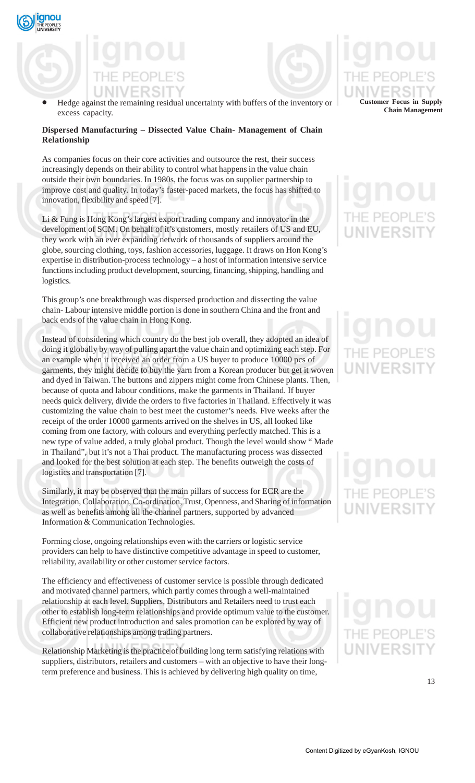



• Hedge against the remaining residual uncertainty with buffers of the inventory or excess capacity.

## **Dispersed Manufacturing – Dissected Value Chain- Management of Chain Relationship**

As companies focus on their core activities and outsource the rest, their success increasingly depends on their ability to control what happens in the value chain outside their own boundaries. In 1980s, the focus was on supplier partnership to improve cost and quality. In today's faster-paced markets, the focus has shifted to innovation, flexibility and speed [7].

Li & Fung is Hong Kong's largest export trading company and innovator in the development of SCM. On behalf of it's customers, mostly retailers of US and EU, they work with an ever expanding network of thousands of suppliers around the globe, sourcing clothing, toys, fashion accessories, luggage. It draws on Hon Kong's expertise in distribution-process technology – a host of information intensive service functions including product development, sourcing, financing, shipping, handling and logistics.

This group's one breakthrough was dispersed production and dissecting the value chain- Labour intensive middle portion is done in southern China and the front and back ends of the value chain in Hong Kong.

Instead of considering which country do the best job overall, they adopted an idea of doing it globally by way of pulling apart the value chain and optimizing each step. For an example when it received an order from a US buyer to produce 10000 pcs of garments, they might decide to buy the yarn from a Korean producer but get it woven and dyed in Taiwan. The buttons and zippers might come from Chinese plants. Then, because of quota and labour conditions, make the garments in Thailand. If buyer needs quick delivery, divide the orders to five factories in Thailand. Effectively it was customizing the value chain to best meet the customer's needs. Five weeks after the receipt of the order 10000 garments arrived on the shelves in US, all looked like coming from one factory, with colours and everything perfectly matched. This is a new type of value added, a truly global product. Though the level would show " Made in Thailand", but it's not a Thai product. The manufacturing process was dissected and looked for the best solution at each step. The benefits outweigh the costs of logistics and transportation [7].

Similarly, it may be observed that the main pillars of success for ECR are the Integration, Collaboration, Co-ordination, Trust, Openness, and Sharing of information as well as benefits among all the channel partners, supported by advanced Information & Communication Technologies.

Forming close, ongoing relationships even with the carriers or logistic service providers can help to have distinctive competitive advantage in speed to customer, reliability, availability or other customer service factors.

The efficiency and effectiveness of customer service is possible through dedicated and motivated channel partners, which partly comes through a well-maintained relationship at each level. Suppliers, Distributors and Retailers need to trust each other to establish long-term relationships and provide optimum value to the customer. Efficient new product introduction and sales promotion can be explored by way of collaborative relationships among trading partners.

Relationship Marketing is the practice of building long term satisfying relations with suppliers, distributors, retailers and customers – with an objective to have their longterm preference and business. This is achieved by delivering high quality on time,

## **Customer Focus in Supply Chain Management**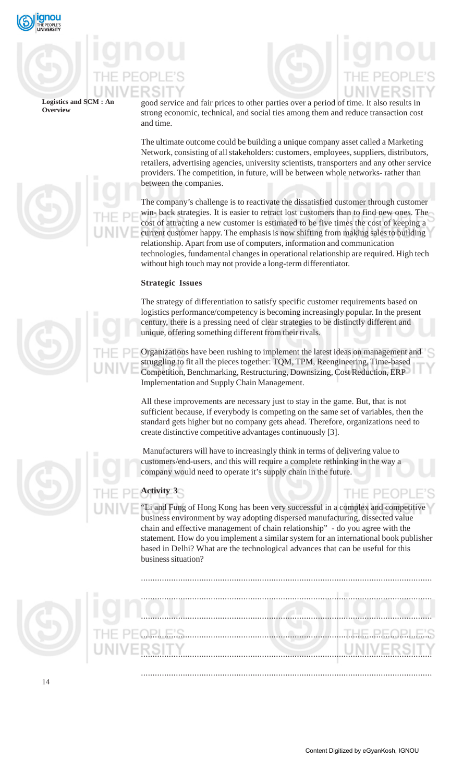

Logistics and SCM : **Overview**

good service and fair prices to other parties over a period of time. It also results in strong economic, technical, and social ties among them and reduce transaction cost and time.

The ultimate outcome could be building a unique company asset called a Marketing Network, consisting of all stakeholders: customers, employees, suppliers, distributors, retailers, advertising agencies, university scientists, transporters and any other service providers. The competition, in future, will be between whole networks- rather than between the companies.

The company's challenge is to reactivate the dissatisfied customer through customer win- back strategies. It is easier to retract lost customers than to find new ones. The cost of attracting a new customer is estimated to be five times the cost of keeping a current customer happy. The emphasis is now shifting from making sales to building relationship. Apart from use of computers, information and communication technologies, fundamental changes in operational relationship are required. High tech without high touch may not provide a long-term differentiator.

## **Strategic Issues**

The strategy of differentiation to satisfy specific customer requirements based on logistics performance/competency is becoming increasingly popular. In the present century, there is a pressing need of clear strategies to be distinctly different and unique, offering something different from their rivals.

Organizations have been rushing to implement the latest ideas on management and struggling to fit all the pieces together: TQM, TPM, Reengineering, Time-based Competition, Benchmarking, Restructuring, Downsizing, Cost Reduction, ERP Implementation and Supply Chain Management.

All these improvements are necessary just to stay in the game. But, that is not sufficient because, if everybody is competing on the same set of variables, then the standard gets higher but no company gets ahead. Therefore, organizations need to create distinctive competitive advantages continuously [3].

 Manufacturers will have to increasingly think in terms of delivering value to customers/end-users, and this will require a complete rethinking in the way a company would need to operate it's supply chain in the future.

## **Activity 3**

"Li and Fung of Hong Kong has been very successful in a complex and competitive business environment by way adopting dispersed manufacturing, dissected value chain and effective management of chain relationship" - do you agree with the statement. How do you implement a similar system for an international book publisher based in Delhi? What are the technological advances that can be useful for this business situation?

.............................................................................................................................

.............................................................................................................................

.............................................................................................................................



1 H H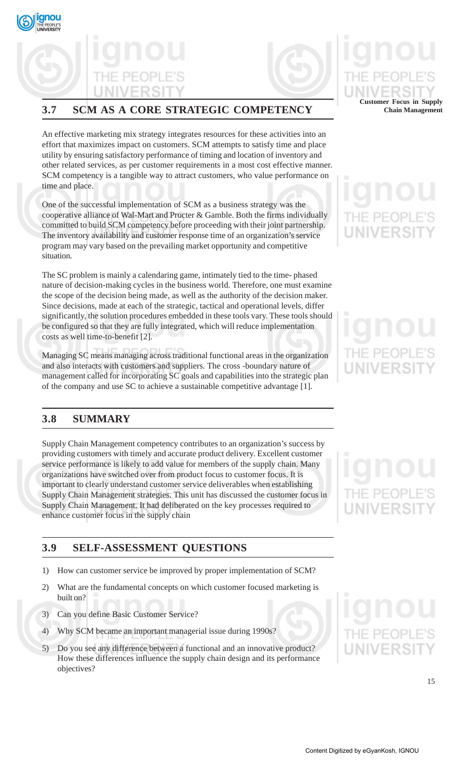



## **3.7 SCM AS A CORE STRATEGIC COMPETENCY**

An effective marketing mix strategy integrates resources for these activities into an effort that maximizes impact on customers. SCM attempts to satisfy time and place utility by ensuring satisfactory performance of timing and location of inventory and other related services, as per customer requirements in a most cost effective manner. SCM competency is a tangible way to attract customers, who value performance on time and place.

One of the successful implementation of SCM as a business strategy was the cooperative alliance of Wal-Mart and Procter & Gamble. Both the firms individually committed to build SCM competency before proceeding with their joint partnership. The inventory availability and customer response time of an organization's service program may vary based on the prevailing market opportunity and competitive situation.

The SC problem is mainly a calendaring game, intimately tied to the time- phased nature of decision-making cycles in the business world. Therefore, one must examine the scope of the decision being made, as well as the authority of the decision maker. Since decisions, made at each of the strategic, tactical and operational levels, differ significantly, the solution procedures embedded in these tools vary. These tools should be configured so that they are fully integrated, which will reduce implementation costs as well time-to-benefit [2].

Managing SC means managing across traditional functional areas in the organization and also interacts with customers and suppliers. The cross -boundary nature of management called for incorporating SC goals and capabilities into the strategic plan of the company and use SC to achieve a sustainable competitive advantage [1].

## **3.8 SUMMARY**

Supply Chain Management competency contributes to an organization's success by providing customers with timely and accurate product delivery. Excellent customer service performance is likely to add value for members of the supply chain. Many organizations have switched over from product focus to customer focus. It is important to clearly understand customer service deliverables when establishing Supply Chain Management strategies. This unit has discussed the customer focus in Supply Chain Management. It had deliberated on the key processes required to enhance customer focus in the supply chain

## **3.9 SELF-ASSESSMENT QUESTIONS**

- 1) How can customer service be improved by proper implementation of SCM?
- 2) What are the fundamental concepts on which customer focused marketing is built on?
- 3) Can you define Basic Customer Service?
- 4) Why SCM became an important managerial issue during 1990s?
- 5) Do you see any difference between a functional and an innovative product? How these differences influence the supply chain design and its performance objectives?

## **Customer Focus in Supply Chain Management**

# **WIVERSI**

15